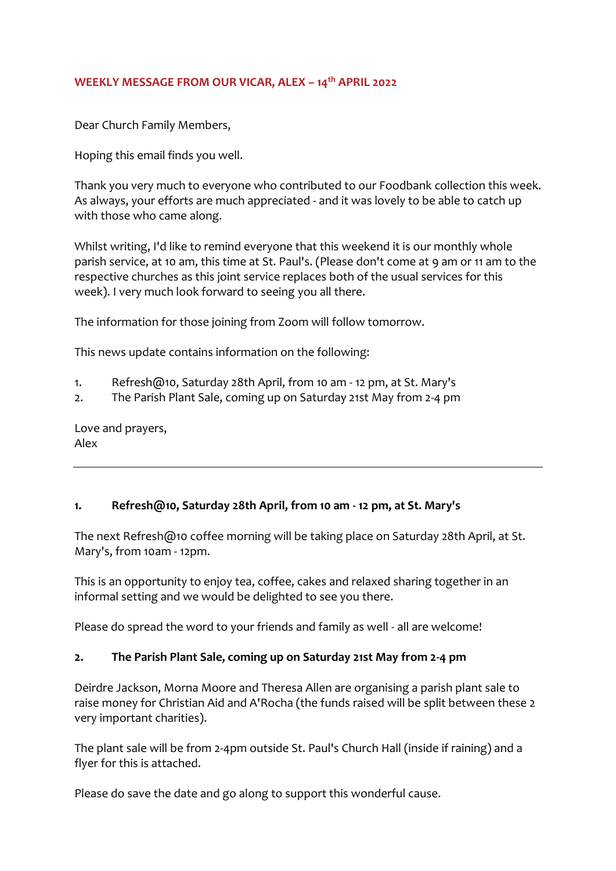## **WEEKLY MESSAGE FROM OUR VICAR, ALEX – 14th APRIL 2022**

Dear Church Family Members,

Hoping this email finds you well.

Thank you very much to everyone who contributed to our Foodbank collection this week. As always, your efforts are much appreciated - and it was lovely to be able to catch up with those who came along.

Whilst writing, I'd like to remind everyone that this weekend it is our monthly whole parish service, at 10 am, this time at St. Paul's. (Please don't come at 9 am or 11 am to the respective churches as this joint service replaces both of the usual services for this week). I very much look forward to seeing you all there.

The information for those joining from Zoom will follow tomorrow.

This news update contains information on the following:

- 1. Refresh@10, Saturday 28th April, from 10 am 12 pm, at St. Mary's
- 2. The Parish Plant Sale, coming up on Saturday 21st May from 2-4 pm

Love and prayers, Alex

## **1. Refresh@10, Saturday 28th April, from 10 am - 12 pm, at St. Mary's**

The next Refresh@10 coffee morning will be taking place on Saturday 28th April, at St. Mary's, from 10am - 12pm.

This is an opportunity to enjoy tea, coffee, cakes and relaxed sharing together in an informal setting and we would be delighted to see you there.

Please do spread the word to your friends and family as well - all are welcome!

## **2. The Parish Plant Sale, coming up on Saturday 21st May from 2-4 pm**

Deirdre Jackson, Morna Moore and Theresa Allen are organising a parish plant sale to raise money for Christian Aid and A'Rocha (the funds raised will be split between these 2 very important charities).

The plant sale will be from 2-4pm outside St. Paul's Church Hall (inside if raining) and a flyer for this is attached.

Please do save the date and go along to support this wonderful cause.